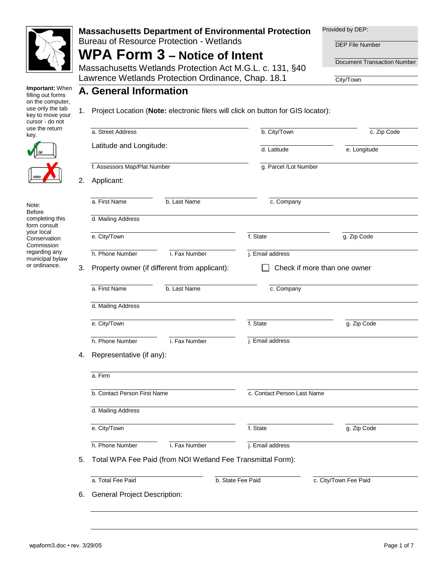

#### **Massachusetts Department of Environmental Protection**  Bureau of Resource Protection - Wetlands

# **WPA Form 3 – Notice of Intent**

Massachusetts Wetlands Protection Act M.G.L. c. 131, §40 Lawrence Wetlands Protection Ordinance, Chap. 18.1

Provided by DEP:

DEP File Number

Document Transaction Number

City/Town

**Important:** When filling out forms on the computer, use only the tab key to move your cursor - do not use the return key.



Note: Before completing this form consult your local **Conservation Commission** regarding any municipal bylaw or ordinance.

|    | A. General Information                                      | Project Location (Note: electronic filers will click on button for GIS locator): |                              |  |  |  |  |
|----|-------------------------------------------------------------|----------------------------------------------------------------------------------|------------------------------|--|--|--|--|
|    | a. Street Address                                           | b. City/Town                                                                     | c. Zip Code                  |  |  |  |  |
|    | Latitude and Longitude:                                     | d. Latitude                                                                      | e. Longitude                 |  |  |  |  |
|    | f. Assessors Map/Plat Number                                | g. Parcel/Lot Number                                                             |                              |  |  |  |  |
|    | Applicant:                                                  |                                                                                  |                              |  |  |  |  |
|    | a. First Name<br>b. Last Name                               | c. Company                                                                       |                              |  |  |  |  |
|    | d. Mailing Address                                          |                                                                                  |                              |  |  |  |  |
|    | e. City/Town                                                | f. State                                                                         | g. Zip Code                  |  |  |  |  |
|    | h. Phone Number<br>i. Fax Number                            | j. Email address                                                                 |                              |  |  |  |  |
| 3. | Property owner (if different from applicant):               |                                                                                  | Check if more than one owner |  |  |  |  |
|    | a. First Name<br>b. Last Name                               | c. Company                                                                       |                              |  |  |  |  |
|    | d. Mailing Address                                          |                                                                                  |                              |  |  |  |  |
|    | e. City/Town                                                | f. State                                                                         | g. Zip Code                  |  |  |  |  |
|    | i. Fax Number<br>h. Phone Number                            | j. Email address                                                                 |                              |  |  |  |  |
|    | Representative (if any):                                    |                                                                                  |                              |  |  |  |  |
|    | a. Firm                                                     |                                                                                  |                              |  |  |  |  |
|    | b. Contact Person First Name                                | c. Contact Person Last Name                                                      |                              |  |  |  |  |
|    | d. Mailing Address                                          |                                                                                  |                              |  |  |  |  |
|    | e. City/Town                                                | f. State                                                                         | g. Zip Code                  |  |  |  |  |
|    | h. Phone Number<br>i. Fax Number                            | j. Email address                                                                 |                              |  |  |  |  |
|    | Total WPA Fee Paid (from NOI Wetland Fee Transmittal Form): |                                                                                  |                              |  |  |  |  |
|    | a. Total Fee Paid                                           | b. State Fee Paid                                                                | c. City/Town Fee Paid        |  |  |  |  |
|    |                                                             |                                                                                  |                              |  |  |  |  |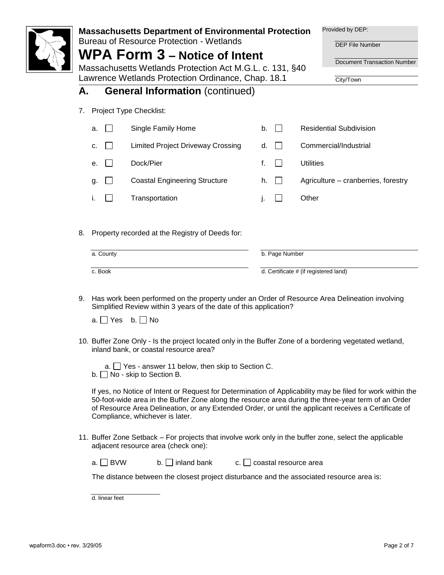|           |      |                | <b>Massachusetts Department of Environmental Protection</b>                                      |     |    |                       |                  | Provided by DEP:                                                                                                                                                                                                                                                                                                           |
|-----------|------|----------------|--------------------------------------------------------------------------------------------------|-----|----|-----------------------|------------------|----------------------------------------------------------------------------------------------------------------------------------------------------------------------------------------------------------------------------------------------------------------------------------------------------------------------------|
|           |      |                | <b>Bureau of Resource Protection - Wetlands</b>                                                  |     |    |                       |                  | <b>DEP File Number</b>                                                                                                                                                                                                                                                                                                     |
|           |      |                | <b>WPA Form 3 – Notice of Intent</b><br>Massachusetts Wetlands Protection Act M.G.L. c. 131, §40 |     |    |                       |                  | Document Transaction Number                                                                                                                                                                                                                                                                                                |
|           |      |                | Lawrence Wetlands Protection Ordinance, Chap. 18.1                                               |     |    |                       |                  | City/Town                                                                                                                                                                                                                                                                                                                  |
| А.        |      |                | <b>General Information (continued)</b>                                                           |     |    |                       |                  |                                                                                                                                                                                                                                                                                                                            |
| 7.        |      |                | Project Type Checklist:                                                                          |     |    |                       |                  |                                                                                                                                                                                                                                                                                                                            |
|           | a.   | $\mathbf{I}$   | Single Family Home                                                                               |     | b. | $\Box$                |                  | <b>Residential Subdivision</b>                                                                                                                                                                                                                                                                                             |
|           | c.   |                | <b>Limited Project Driveway Crossing</b>                                                         |     | d. |                       |                  | Commercial/Industrial                                                                                                                                                                                                                                                                                                      |
|           | е.   |                | Dock/Pier                                                                                        |     | f. | $\mathbf{I}$          | <b>Utilities</b> |                                                                                                                                                                                                                                                                                                                            |
|           | g.   | $\mathbf{L}$   | <b>Coastal Engineering Structure</b>                                                             |     | h. | $\Box$                |                  | Agriculture – cranberries, forestry                                                                                                                                                                                                                                                                                        |
|           | i.   | $\mathsf{L}$   | Transportation                                                                                   |     | j. | $\Box$                | Other            |                                                                                                                                                                                                                                                                                                                            |
|           |      |                |                                                                                                  |     |    |                       |                  |                                                                                                                                                                                                                                                                                                                            |
| 8.        |      |                | Property recorded at the Registry of Deeds for:                                                  |     |    |                       |                  |                                                                                                                                                                                                                                                                                                                            |
| a. County |      |                | b. Page Number                                                                                   |     |    |                       |                  |                                                                                                                                                                                                                                                                                                                            |
|           |      | c. Book        |                                                                                                  |     |    |                       |                  | d. Certificate # (if registered land)                                                                                                                                                                                                                                                                                      |
|           |      |                | Simplified Review within 3 years of the date of this application?                                |     |    |                       |                  | 9. Has work been performed on the property under an Order of Resource Area Delineation involving                                                                                                                                                                                                                           |
|           |      |                | a. $\Box$ Yes b. $\Box$ No                                                                       |     |    |                       |                  |                                                                                                                                                                                                                                                                                                                            |
|           |      |                |                                                                                                  |     |    |                       |                  | 10. Buffer Zone Only - Is the project located only in the Buffer Zone of a bordering vegetated wetland,                                                                                                                                                                                                                    |
|           |      |                | inland bank, or coastal resource area?                                                           |     |    |                       |                  |                                                                                                                                                                                                                                                                                                                            |
|           |      |                | a. $\Box$ Yes - answer 11 below, then skip to Section C.<br>b. $\Box$ No - skip to Section B.    |     |    |                       |                  |                                                                                                                                                                                                                                                                                                                            |
|           |      |                | Compliance, whichever is later.                                                                  |     |    |                       |                  | If yes, no Notice of Intent or Request for Determination of Applicability may be filed for work within the<br>50-foot-wide area in the Buffer Zone along the resource area during the three-year term of an Order<br>of Resource Area Delineation, or any Extended Order, or until the applicant receives a Certificate of |
|           |      |                | adjacent resource area (check one):                                                              |     |    |                       |                  | 11. Buffer Zone Setback – For projects that involve work only in the buffer zone, select the applicable                                                                                                                                                                                                                    |
|           | a. I | $\Box$ BVW     | $b.$ inland bank                                                                                 | c.l |    | coastal resource area |                  |                                                                                                                                                                                                                                                                                                                            |
|           |      |                | The distance between the closest project disturbance and the associated resource area is:        |     |    |                       |                  |                                                                                                                                                                                                                                                                                                                            |
|           |      | d. linear feet |                                                                                                  |     |    |                       |                  |                                                                                                                                                                                                                                                                                                                            |

I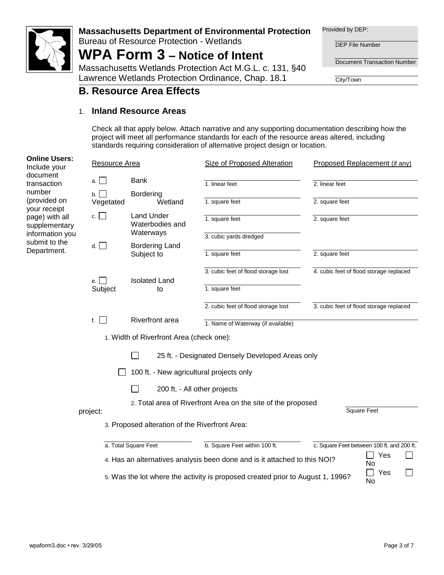

Bureau of Resource Protection - Wetlands

# **WPA Form 3 – Notice of Intent**

Massachusetts Wetlands Protection Act M.G.L. c. 131, §40 Lawrence Wetlands Protection Ordinance, Chap. 18.1

Provided by DEP:

DEP File Number

Document Transaction Number

City/Town

### **B. Resource Area Effects**

#### 1. **Inland Resource Areas**

Check all that apply below. Attach narrative and any supporting documentation describing how the project will meet all performance standards for each of the resource areas altered, including standards requiring consideration of alternative project design or location.

| <b>Online Users:</b><br>Include your   | Resource Area             |                                                | Size of Proposed Alteration                                                    | Proposed Replacement (if any)              |
|----------------------------------------|---------------------------|------------------------------------------------|--------------------------------------------------------------------------------|--------------------------------------------|
| document<br>transaction                | $\blacksquare$<br>a.      | <b>Bank</b>                                    | 1. linear feet                                                                 | 2. linear feet                             |
| number<br>(provided on<br>your receipt | b.<br>$\sim$<br>Vegetated | <b>Bordering</b><br>Wetland                    | 1. square feet                                                                 | 2. square feet                             |
| page) with all<br>supplementary        | c. $\Box$                 | <b>Land Under</b><br>Waterbodies and           | 1. square feet                                                                 | 2. square feet                             |
| information you<br>submit to the       | d.                        | Waterways<br><b>Bordering Land</b>             | 3. cubic yards dredged                                                         |                                            |
| Department.                            |                           | Subject to                                     | 1. square feet                                                                 | 2. square feet                             |
|                                        |                           | <b>Isolated Land</b>                           | 3. cubic feet of flood storage lost                                            | 4. cubic feet of flood storage replaced    |
|                                        | e.  <br>Subject           | to                                             | 1. square feet                                                                 |                                            |
|                                        |                           |                                                | 2. cubic feet of flood storage lost                                            | 3. cubic feet of flood storage replaced    |
|                                        | f. $\vert \vert$          | <b>Riverfront</b> area                         | 1. Name of Waterway (if available)                                             |                                            |
|                                        |                           | 1. Width of Riverfront Area (check one):       |                                                                                |                                            |
|                                        |                           |                                                | 25 ft. - Designated Densely Developed Areas only                               |                                            |
|                                        |                           | 100 ft. - New agricultural projects only       |                                                                                |                                            |
|                                        |                           | 200 ft. - All other projects                   |                                                                                |                                            |
|                                        | project:                  |                                                | 2. Total area of Riverfront Area on the site of the proposed                   | Square Feet                                |
|                                        |                           | 3. Proposed alteration of the Riverfront Area: |                                                                                |                                            |
|                                        |                           | a. Total Square Feet                           | b. Square Feet within 100 ft.                                                  | c. Square Feet between 100 ft. and 200 ft. |
|                                        |                           |                                                | 4. Has an alternatives analysis been done and is it attached to this NOI?      | Yes<br>$\Box$<br>No                        |
|                                        |                           |                                                | 5. Was the lot where the activity is proposed created prior to August 1, 1996? | Yes<br>No                                  |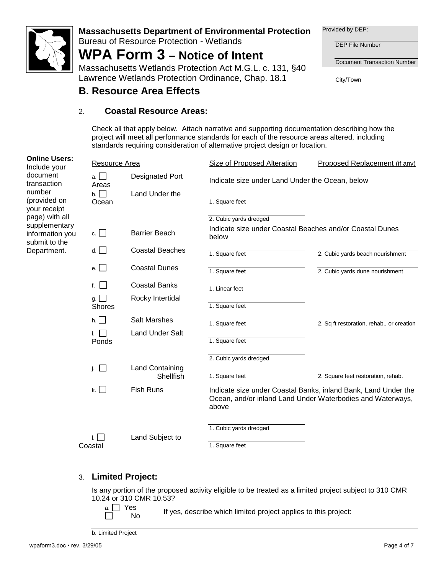

Bureau of Resource Protection - Wetlands

## **WPA Form 3 – Notice of Intent**

Massachusetts Wetlands Protection Act M.G.L. c. 131, §40 Lawrence Wetlands Protection Ordinance, Chap. 18.1

Provided by DEP:

DEP File Number

Document Transaction Number

City/Town

### **B. Resource Area Effects**

#### 2. **Coastal Resource Areas:**

Check all that apply below. Attach narrative and supporting documentation describing how the project will meet all performance standards for each of the resource areas altered, including standards requiring consideration of alternative project design or location.

| <b>Online Users:</b><br>Include your              | Resource Area              |                                     | Size of Proposed Alteration                                                                                                           | Proposed Replacement (if any)             |
|---------------------------------------------------|----------------------------|-------------------------------------|---------------------------------------------------------------------------------------------------------------------------------------|-------------------------------------------|
| document<br>transaction<br>number                 | a. I I<br>Areas            | <b>Designated Port</b>              | Indicate size under Land Under the Ocean, below                                                                                       |                                           |
| (provided on<br>your receipt                      | $b. \Box$<br>Ocean         | Land Under the                      | 1. Square feet                                                                                                                        |                                           |
| page) with all                                    |                            |                                     | 2. Cubic yards dredged                                                                                                                |                                           |
| supplementary<br>information you<br>submit to the | c.                         | <b>Barrier Beach</b>                | Indicate size under Coastal Beaches and/or Coastal Dunes<br>below                                                                     |                                           |
| Department.                                       | d.                         | <b>Coastal Beaches</b>              | 1. Square feet                                                                                                                        | 2. Cubic yards beach nourishment          |
|                                                   | e. $\vert \ \vert$         | <b>Coastal Dunes</b>                | 1. Square feet                                                                                                                        | 2. Cubic yards dune nourishment           |
|                                                   | f.                         | <b>Coastal Banks</b>                | 1. Linear feet                                                                                                                        |                                           |
|                                                   | g. $\Box$<br><b>Shores</b> | Rocky Intertidal                    | 1. Square feet                                                                                                                        |                                           |
|                                                   | $h.$                       | <b>Salt Marshes</b>                 | 1. Square feet                                                                                                                        | 2. Sq ft restoration, rehab., or creation |
|                                                   | Ponds                      | <b>Land Under Salt</b>              | 1. Square feet                                                                                                                        |                                           |
|                                                   |                            |                                     | 2. Cubic yards dredged                                                                                                                |                                           |
|                                                   | j. $\Box$                  | <b>Land Containing</b><br>Shellfish | 1. Square feet                                                                                                                        | 2. Square feet restoration, rehab.        |
|                                                   | k. $\Box$                  | <b>Fish Runs</b>                    | Indicate size under Coastal Banks, inland Bank, Land Under the<br>Ocean, and/or inland Land Under Waterbodies and Waterways,<br>above |                                           |
|                                                   |                            |                                     | 1. Cubic yards dredged                                                                                                                |                                           |
|                                                   | H<br>Coastal               | Land Subject to                     | 1. Square feet                                                                                                                        |                                           |

#### 3. **Limited Project:**

Is any portion of the proposed activity eligible to be treated as a limited project subject to 310 CMR 10.24 or 310 CMR 10.53?

a. □ Yes  $\Box$ 

 $\frac{1}{10}$  If yes, describe which limited project applies to this project:

b. Limited Project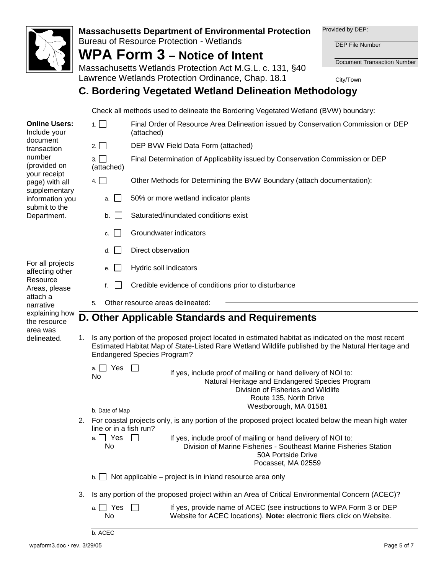

Bureau of Resource Protection - Wetlands

**WPA Form 3 – Notice of Intent**

Provided by DEP:

DEP File Number

Document Transaction Number

Massachusetts Wetlands Protection Act M.G.L. c. 131, §40 Lawrence Wetlands Protection Ordinance, Chap. 18.1

City/Town

### **C. Bordering Vegetated Wetland Delineation Methodology**

Check all methods used to delineate the Bordering Vegetated Wetland (BVW) boundary:

| <b>Online Users:</b><br>Include your            |                                                | 1.1 <sub>1</sub>                      | Final Order of Resource Area Delineation issued by Conservation Commission or DEP<br>(attached)                                                                                                                                                   |  |  |  |
|-------------------------------------------------|------------------------------------------------|---------------------------------------|---------------------------------------------------------------------------------------------------------------------------------------------------------------------------------------------------------------------------------------------------|--|--|--|
| document<br>transaction                         |                                                | $2. \Box$                             | DEP BVW Field Data Form (attached)                                                                                                                                                                                                                |  |  |  |
| number<br>(provided on                          |                                                | 3.<br>(attached)                      | Final Determination of Applicability issued by Conservation Commission or DEP                                                                                                                                                                     |  |  |  |
| your receipt<br>page) with all<br>supplementary |                                                | 4. $\Box$                             | Other Methods for Determining the BVW Boundary (attach documentation):                                                                                                                                                                            |  |  |  |
| information you<br>submit to the                |                                                | $\blacksquare$<br>a.                  | 50% or more wetland indicator plants                                                                                                                                                                                                              |  |  |  |
| Department.                                     |                                                | b.                                    | Saturated/inundated conditions exist                                                                                                                                                                                                              |  |  |  |
|                                                 |                                                | c.                                    | Groundwater indicators                                                                                                                                                                                                                            |  |  |  |
|                                                 |                                                | d.                                    | Direct observation                                                                                                                                                                                                                                |  |  |  |
| For all projects<br>affecting other             |                                                | е.                                    | Hydric soil indicators                                                                                                                                                                                                                            |  |  |  |
| Resource<br>Areas, please                       |                                                | f.                                    | Credible evidence of conditions prior to disturbance                                                                                                                                                                                              |  |  |  |
| attach a<br>narrative                           |                                                | 5.                                    | Other resource areas delineated:                                                                                                                                                                                                                  |  |  |  |
| explaining how<br>the resource                  | D. Other Applicable Standards and Requirements |                                       |                                                                                                                                                                                                                                                   |  |  |  |
| area was<br>delineated.                         |                                                |                                       | 1. Is any portion of the proposed project located in estimated habitat as indicated on the most recent<br>Estimated Habitat Map of State-Listed Rare Wetland Wildlife published by the Natural Heritage and<br><b>Endangered Species Program?</b> |  |  |  |
|                                                 |                                                | a. $\Box$ Yes<br>No<br>b. Date of Map | If yes, include proof of mailing or hand delivery of NOI to:<br>Natural Heritage and Endangered Species Program<br>Division of Fisheries and Wildlife<br>Route 135, North Drive<br>Westborough, MA 01581                                          |  |  |  |
|                                                 |                                                | line or in a fish run?                | 2. For coastal projects only, is any portion of the proposed project located below the mean high water                                                                                                                                            |  |  |  |
|                                                 |                                                | a. $\Box$ Yes<br>No                   | If yes, include proof of mailing or hand delivery of NOI to:<br>Division of Marine Fisheries - Southeast Marine Fisheries Station<br>50A Portside Drive<br>Pocasset, MA 02559                                                                     |  |  |  |
|                                                 |                                                | b.                                    | Not applicable - project is in inland resource area only                                                                                                                                                                                          |  |  |  |
|                                                 | 3.                                             |                                       | Is any portion of the proposed project within an Area of Critical Environmental Concern (ACEC)?                                                                                                                                                   |  |  |  |
|                                                 |                                                | a. $\Box$ Yes<br>No                   | If yes, provide name of ACEC (see instructions to WPA Form 3 or DEP<br>Website for ACEC locations). Note: electronic filers click on Website.                                                                                                     |  |  |  |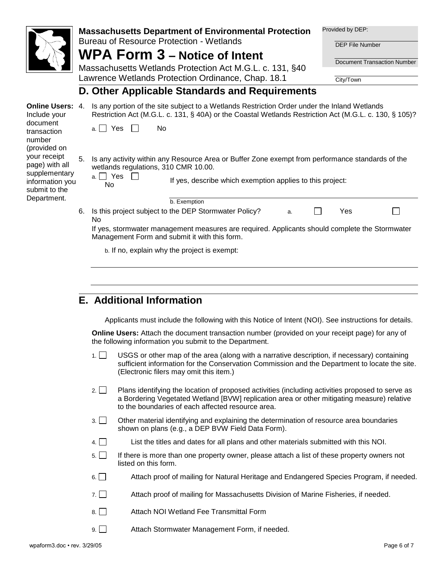|                                                                 |                | <b>Bureau of Resource Protection - Wetlands</b> | <b>Massachusetts Department of Environmental Protection</b>                                                                                                                                            |                                                           |  | Provided by DEP:<br><b>DEP File Number</b> |  |  |  |
|-----------------------------------------------------------------|----------------|-------------------------------------------------|--------------------------------------------------------------------------------------------------------------------------------------------------------------------------------------------------------|-----------------------------------------------------------|--|--------------------------------------------|--|--|--|
|                                                                 |                | <b>WPA Form 3 – Notice of Intent</b>            |                                                                                                                                                                                                        | <b>Document Transaction Number</b>                        |  |                                            |  |  |  |
|                                                                 |                |                                                 | Massachusetts Wetlands Protection Act M.G.L. c. 131, §40                                                                                                                                               |                                                           |  |                                            |  |  |  |
|                                                                 |                |                                                 | Lawrence Wetlands Protection Ordinance, Chap. 18.1                                                                                                                                                     |                                                           |  | City/Town                                  |  |  |  |
|                                                                 |                |                                                 | D. Other Applicable Standards and Requirements                                                                                                                                                         |                                                           |  |                                            |  |  |  |
| <b>Online Users: 4.</b><br>Include your                         |                |                                                 | Is any portion of the site subject to a Wetlands Restriction Order under the Inland Wetlands<br>Restriction Act (M.G.L. c. 131, § 40A) or the Coastal Wetlands Restriction Act (M.G.L. c. 130, § 105)? |                                                           |  |                                            |  |  |  |
| document<br>transaction<br>number                               |                | a. $\Box$ Yes<br>No                             |                                                                                                                                                                                                        |                                                           |  |                                            |  |  |  |
| (provided on<br>your receipt<br>page) with all<br>supplementary | 5 <sub>1</sub> | wetlands regulations, 310 CMR 10.00.            | Is any activity within any Resource Area or Buffer Zone exempt from performance standards of the                                                                                                       |                                                           |  |                                            |  |  |  |
| information you<br>submit to the                                |                | a. □ Yes<br>No                                  |                                                                                                                                                                                                        | If yes, describe which exemption applies to this project: |  |                                            |  |  |  |
| Department.                                                     |                |                                                 | b. Exemption                                                                                                                                                                                           |                                                           |  |                                            |  |  |  |
|                                                                 | 6.             | N <sub>0</sub>                                  | Is this project subject to the DEP Stormwater Policy?                                                                                                                                                  | a.                                                        |  | Yes                                        |  |  |  |
|                                                                 |                | Management Form and submit it with this form.   | If yes, stormwater management measures are required. Applicants should complete the Stormwater                                                                                                         |                                                           |  |                                            |  |  |  |
|                                                                 |                |                                                 | b. If no, explain why the project is exempt:                                                                                                                                                           |                                                           |  |                                            |  |  |  |

### **E. Additional Information**

Applicants must include the following with this Notice of Intent (NOI). See instructions for details.

**Online Users:** Attach the document transaction number (provided on your receipt page) for any of the following information you submit to the Department.

- 1. USGS or other map of the area (along with a narrative description, if necessary) containing sufficient information for the Conservation Commission and the Department to locate the site. (Electronic filers may omit this item.)
- 2. Plans identifying the location of proposed activities (including activities proposed to serve as a Bordering Vegetated Wetland [BVW] replication area or other mitigating measure) relative to the boundaries of each affected resource area.
- 3. Other material identifying and explaining the determination of resource area boundaries shown on plans (e.g., a DEP BVW Field Data Form).
- $4. \Box$  List the titles and dates for all plans and other materials submitted with this NOI.
- 5. If there is more than one property owner, please attach a list of these property owners not listed on this form.
- $6. \Box$  Attach proof of mailing for Natural Heritage and Endangered Species Program, if needed.
- $7. \Box$  Attach proof of mailing for Massachusetts Division of Marine Fisheries, if needed.
- 8. Attach NOI Wetland Fee Transmittal Form
- 9. Attach Stormwater Management Form, if needed.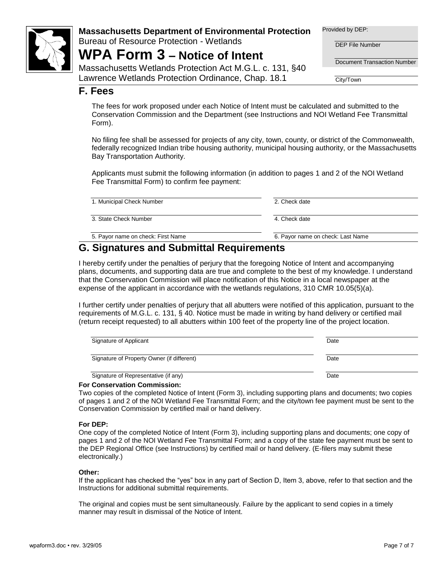

Bureau of Resource Protection - Wetlands

## **WPA Form 3 – Notice of Intent**

Massachusetts Wetlands Protection Act M.G.L. c. 131, §40 Lawrence Wetlands Protection Ordinance, Chap. 18.1

Provided by DEP:

DEP File Number

Document Transaction Number

City/Town

#### **F. Fees**

The fees for work proposed under each Notice of Intent must be calculated and submitted to the Conservation Commission and the Department (see Instructions and NOI Wetland Fee Transmittal Form).

No filing fee shall be assessed for projects of any city, town, county, or district of the Commonwealth, federally recognized Indian tribe housing authority, municipal housing authority, or the Massachusetts Bay Transportation Authority.

Applicants must submit the following information (in addition to pages 1 and 2 of the NOI Wetland Fee Transmittal Form) to confirm fee payment:

| 1. Municipal Check Number          | 2. Check date                     |
|------------------------------------|-----------------------------------|
| 3. State Check Number              | 4. Check date                     |
| 5. Payor name on check: First Name | 6. Payor name on check: Last Name |
| . <del>.</del>                     |                                   |

### **G. Signatures and Submittal Requirements**

I hereby certify under the penalties of perjury that the foregoing Notice of Intent and accompanying plans, documents, and supporting data are true and complete to the best of my knowledge. I understand that the Conservation Commission will place notification of this Notice in a local newspaper at the expense of the applicant in accordance with the wetlands regulations, 310 CMR 10.05(5)(a).

I further certify under penalties of perjury that all abutters were notified of this application, pursuant to the requirements of M.G.L. c. 131, § 40. Notice must be made in writing by hand delivery or certified mail (return receipt requested) to all abutters within 100 feet of the property line of the project location.

| Signature of Applicant                     | Date |
|--------------------------------------------|------|
| Signature of Property Owner (if different) | Date |
| Signature of Representative (if any)       | Date |

#### **For Conservation Commission:**

Two copies of the completed Notice of Intent (Form 3), including supporting plans and documents; two copies of pages 1 and 2 of the NOI Wetland Fee Transmittal Form; and the city/town fee payment must be sent to the Conservation Commission by certified mail or hand delivery.

#### **For DEP:**

One copy of the completed Notice of Intent (Form 3), including supporting plans and documents; one copy of pages 1 and 2 of the NOI Wetland Fee Transmittal Form; and a copy of the state fee payment must be sent to the DEP Regional Office (see Instructions) by certified mail or hand delivery. (E-filers may submit these electronically.)

#### **Other:**

If the applicant has checked the "yes" box in any part of Section D, Item 3, above, refer to that section and the Instructions for additional submittal requirements.

The original and copies must be sent simultaneously. Failure by the applicant to send copies in a timely manner may result in dismissal of the Notice of Intent.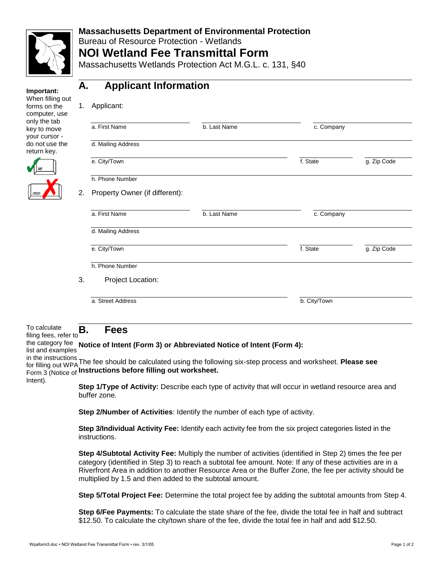

#### **Massachusetts Department of Environmental Protection**  Bureau of Resource Protection - Wetlands **NOI Wetland Fee Transmittal Form**

Massachusetts Wetlands Protection Act M.G.L. c. 131, §40



### **A. Applicant Information**

| 1. | Applicant:                     |              |              |             |
|----|--------------------------------|--------------|--------------|-------------|
|    | a. First Name                  | b. Last Name | c. Company   |             |
|    | d. Mailing Address             |              |              |             |
|    | e. City/Town                   |              | f. State     | g. Zip Code |
|    | h. Phone Number                |              |              |             |
| 2. | Property Owner (if different): |              |              |             |
|    | a. First Name                  | b. Last Name | c. Company   |             |
|    | d. Mailing Address             |              |              |             |
|    | e. City/Town                   |              | f. State     | g. Zip Code |
|    | h. Phone Number                |              |              |             |
| 3. | Project Location:              |              |              |             |
|    | a. Street Address              |              | b. City/Town |             |
|    |                                |              |              |             |

#### To calculate To calculate  $\mathbf{B}$ .<br>filing fees, refer to **B. Fees**

the category fee **Notice of Intent (Form 3) or Abbreviated Notice of Intent (Form 4):**

list and examples

in the instructions for filling out WPA The fee should be calculated using the following six-step process and worksheet. **Please see**  Form 3 (Notice of **Instructions before filling out worksheet.**

Intent).

**Step 1/Type of Activity:** Describe each type of activity that will occur in wetland resource area and buffer zone.

**Step 2/Number of Activities**: Identify the number of each type of activity.

**Step 3/Individual Activity Fee:** Identify each activity fee from the six project categories listed in the instructions.

**Step 4/Subtotal Activity Fee:** Multiply the number of activities (identified in Step 2) times the fee per category (identified in Step 3) to reach a subtotal fee amount. Note: If any of these activities are in a Riverfront Area in addition to another Resource Area or the Buffer Zone, the fee per activity should be multiplied by 1.5 and then added to the subtotal amount.

**Step 5/Total Project Fee:** Determine the total project fee by adding the subtotal amounts from Step 4.

**Step 6/Fee Payments:** To calculate the state share of the fee, divide the total fee in half and subtract \$12.50. To calculate the city/town share of the fee, divide the total fee in half and add \$12.50.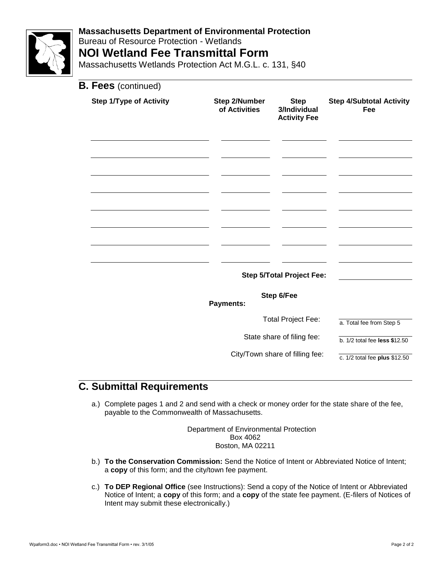

### **Massachusetts Department of Environmental Protection**  Bureau of Resource Protection - Wetlands **NOI Wetland Fee Transmittal Form**

Massachusetts Wetlands Protection Act M.G.L. c. 131, §40

| <b>B. Fees</b> (continued)     |                                |                                                    |                                        |
|--------------------------------|--------------------------------|----------------------------------------------------|----------------------------------------|
| <b>Step 1/Type of Activity</b> | Step 2/Number<br>of Activities | <b>Step</b><br>3/Individual<br><b>Activity Fee</b> | <b>Step 4/Subtotal Activity</b><br>Fee |
|                                |                                |                                                    |                                        |
|                                |                                |                                                    |                                        |
|                                |                                |                                                    |                                        |
|                                |                                |                                                    |                                        |
|                                |                                |                                                    |                                        |
|                                |                                | <b>Step 5/Total Project Fee:</b>                   |                                        |
|                                | <b>Payments:</b>               | Step 6/Fee                                         |                                        |
|                                |                                | <b>Total Project Fee:</b>                          | a. Total fee from Step 5               |
|                                |                                | State share of filing fee:                         | b. $1/2$ total fee less \$12.50        |
|                                |                                | City/Town share of filling fee:                    | c. $1/2$ total fee plus \$12.50        |

### **C. Submittal Requirements**

a.) Complete pages 1 and 2 and send with a check or money order for the state share of the fee, payable to the Commonwealth of Massachusetts.

> Department of Environmental Protection Box 4062 Boston, MA 02211

- b.) **To the Conservation Commission:** Send the Notice of Intent or Abbreviated Notice of Intent; a **copy** of this form; and the city/town fee payment.
- c.) **To DEP Regional Office** (see Instructions): Send a copy of the Notice of Intent or Abbreviated Notice of Intent; a **copy** of this form; and a **copy** of the state fee payment. (E-filers of Notices of Intent may submit these electronically.)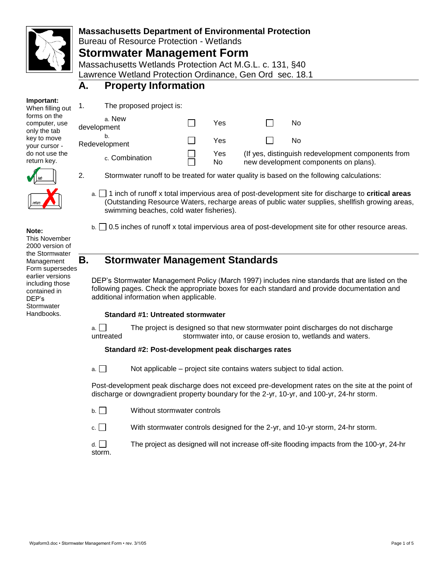

Bureau of Resource Protection - Wetlands

### **Stormwater Management Form**

Massachusetts Wetlands Protection Act M.G.L. c. 131, §40 Lawrence Wetland Protection Ordinance, Gen Ord sec. 18.1

### **A. Property Information**

| Important:       |  |
|------------------|--|
| When filling out |  |

forms on the computer, use only the tab key to move your cursor do not use the return key.

1. The proposed project is:

| a. New<br>development | Yes        | No                                                                                          |
|-----------------------|------------|---------------------------------------------------------------------------------------------|
| b.<br>Redevelopment   | Yes        | No                                                                                          |
| c. Combination        | Yes<br>No. | (If yes, distinguish redevelopment components from<br>new development components on plans). |



2. Stormwater runoff to be treated for water quality is based on the following calculations:

a. 1 inch of runoff x total impervious area of post-development site for discharge to **critical areas** (Outstanding Resource Waters, recharge areas of public water supplies, shellfish growing areas, swimming beaches, cold water fisheries).

 $b. \Box$  0.5 inches of runoff x total impervious area of post-development site for other resource areas.

**Note:** 

This November 2000 version of the Stormwater

Management Form supersedes earlier versions including those contained in DEP's **Stormwater Handbooks** 

### **B. Stormwater Management Standards**

DEP's Stormwater Management Policy (March 1997) includes nine standards that are listed on the following pages. Check the appropriate boxes for each standard and provide documentation and additional information when applicable.

#### **Standard #1: Untreated stormwater**

a.  $\Box$  The project is designed so that new stormwater point discharges do not discharge untreated stormwater into, or cause erosion to, wetlands and waters.

#### **Standard #2: Post-development peak discharges rates**

 $a.$  Not applicable – project site contains waters subject to tidal action.

Post-development peak discharge does not exceed pre-development rates on the site at the point of discharge or downgradient property boundary for the 2-yr, 10-yr, and 100-yr, 24-hr storm.

- b. Without stormwater controls
- c. With stormwater controls designed for the 2-yr, and 10-yr storm, 24-hr storm.

 $d.$  The project as designed will not increase off-site flooding impacts from the 100-yr, 24-hr storm.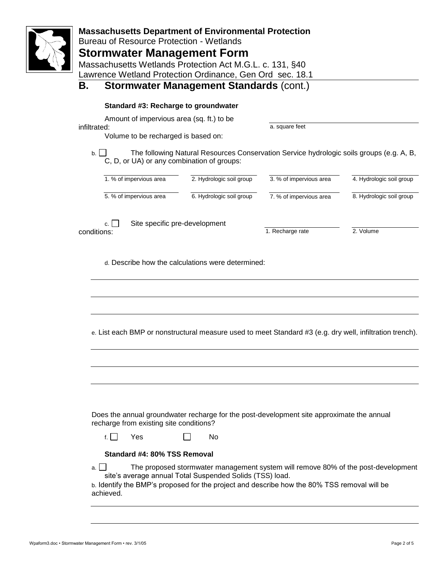| <b>Massachusetts Department of Environmental Protection</b><br><b>Bureau of Resource Protection - Wetlands</b><br><b>Stormwater Management Form</b><br>Massachusetts Wetlands Protection Act M.G.L. c. 131, §40<br>Lawrence Wetland Protection Ordinance, Gen Ord sec. 18.1<br><b>Stormwater Management Standards (cont.)</b><br>Β.<br>Standard #3: Recharge to groundwater<br>Amount of impervious area (sq. ft.) to be<br>a. square feet<br>infiltrated:                  |                                                                                                                                                                               |                          |                         |                          |  |  |  |  |
|-----------------------------------------------------------------------------------------------------------------------------------------------------------------------------------------------------------------------------------------------------------------------------------------------------------------------------------------------------------------------------------------------------------------------------------------------------------------------------|-------------------------------------------------------------------------------------------------------------------------------------------------------------------------------|--------------------------|-------------------------|--------------------------|--|--|--|--|
| $\mathsf{b}$ . $\Box$                                                                                                                                                                                                                                                                                                                                                                                                                                                       | Volume to be recharged is based on:<br>The following Natural Resources Conservation Service hydrologic soils groups (e.g. A, B,<br>C, D, or UA) or any combination of groups: |                          |                         |                          |  |  |  |  |
|                                                                                                                                                                                                                                                                                                                                                                                                                                                                             | 1. % of impervious area                                                                                                                                                       | 2. Hydrologic soil group | 3. % of impervious area | 4. Hydrologic soil group |  |  |  |  |
|                                                                                                                                                                                                                                                                                                                                                                                                                                                                             | 5. % of impervious area                                                                                                                                                       | 6. Hydrologic soil group | 7. % of impervious area | 8. Hydrologic soil group |  |  |  |  |
| c.<br>conditions:                                                                                                                                                                                                                                                                                                                                                                                                                                                           | Site specific pre-development                                                                                                                                                 |                          | 1. Recharge rate        | 2. Volume                |  |  |  |  |
|                                                                                                                                                                                                                                                                                                                                                                                                                                                                             | d. Describe how the calculations were determined:<br>e. List each BMP or nonstructural measure used to meet Standard #3 (e.g. dry well, infiltration trench).                 |                          |                         |                          |  |  |  |  |
| Does the annual groundwater recharge for the post-development site approximate the annual<br>recharge from existing site conditions?<br>f. $\vert \vert$<br>Yes<br>No.<br>Standard #4: 80% TSS Removal<br>The proposed stormwater management system will remove 80% of the post-development<br>a. I<br>site's average annual Total Suspended Solids (TSS) load.<br>b. Identify the BMP's proposed for the project and describe how the 80% TSS removal will be<br>achieved. |                                                                                                                                                                               |                          |                         |                          |  |  |  |  |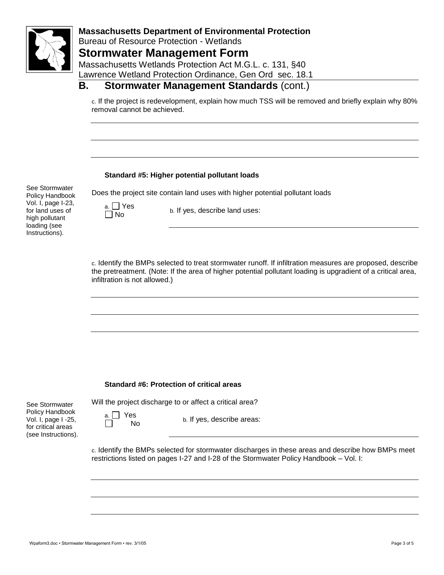

#### **Massachusetts Department of Environmental Protection**  Bureau of Resource Protection - Wetlands **Stormwater Management Form** Massachusetts Wetlands Protection Act M.G.L. c. 131, §40

Lawrence Wetland Protection Ordinance, Gen Ord sec. 18.1

### **B. Stormwater Management Standards** (cont.)

c. If the project is redevelopment, explain how much TSS will be removed and briefly explain why 80% removal cannot be achieved.

#### **Standard #5: Higher potential pollutant loads**

See Stormwater Policy Handbook Vol. I, page I-23, for land uses of high pollutant loading (see Instructions).

Does the project site contain land uses with higher potential pollutant loads

a. □ Yes

 $\Box$  is:  $\Box$  is:  $\Box$  is:  $\Box$  is:  $\Box$  is:  $\Box$  is:  $\Box$  is:  $\Box$  is:  $\Box$  is:  $\Box$  is:  $\Box$  is:  $\Box$  is:  $\Box$  is:  $\Box$  is:  $\Box$  is:  $\Box$  is:  $\Box$  is:  $\Box$  is:  $\Box$  is:  $\Box$  is:  $\Box$  is:  $\Box$  is:  $\Box$  is:  $\Box$  is:  $\Box$ 

c. Identify the BMPs selected to treat stormwater runoff. If infiltration measures are proposed, describe the pretreatment. (Note: If the area of higher potential pollutant loading is upgradient of a critical area, infiltration is not allowed.)

#### **Standard #6: Protection of critical areas**

See Stormwater Policy Handbook Vol. I, page I -25, for critical areas (see Instructions). Will the project discharge to or affect a critical area?

a. Yes

 $N<sub>O</sub>$  b. If yes, describe areas:

c. Identify the BMPs selected for stormwater discharges in these areas and describe how BMPs meet restrictions listed on pages I-27 and I-28 of the Stormwater Policy Handbook – Vol. I: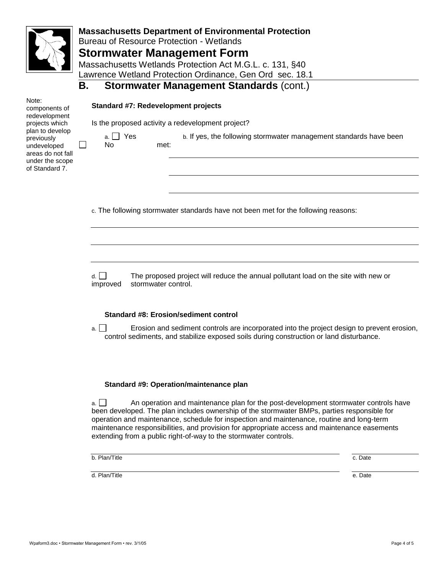

Note:

### **Massachusetts Department of Environmental Protection**

Bureau of Resource Protection - Wetlands

### **Stormwater Management Form**

Massachusetts Wetlands Protection Act M.G.L. c. 131, §40 Lawrence Wetland Protection Ordinance, Gen Ord sec. 18.1

### **B. Stormwater Management Standards** (cont.)

#### **Standard #7: Redevelopment projects**

a. Yes No

| Is the proposed activity a redevelopment project? |  |  |  |
|---------------------------------------------------|--|--|--|
|                                                   |  |  |  |

components of redevelopment projects which plan to develop previously undeveloped areas do not fall under the scope of Standard 7.

 $\perp$ 

b. If yes, the following stormwater management standards have been met:

c. The following stormwater standards have not been met for the following reasons:

d. The proposed project will reduce the annual pollutant load on the site with new or improved stormwater control.

#### **Standard #8: Erosion/sediment control**

a. Erosion and sediment controls are incorporated into the project design to prevent erosion, control sediments, and stabilize exposed soils during construction or land disturbance.

#### **Standard #9: Operation/maintenance plan**

 $a.$  An operation and maintenance plan for the post-development stormwater controls have been developed. The plan includes ownership of the stormwater BMPs, parties responsible for operation and maintenance, schedule for inspection and maintenance, routine and long-term maintenance responsibilities, and provision for appropriate access and maintenance easements extending from a public right-of-way to the stormwater controls.

b. Plan/Title c. Date c. Date c. Date c. Date c. Date c. Date c. Date c. Date c. Date c. Date c. Date c. Date

d. Plan/Title e. Date e. Date e. Date e. Date e. Date e. Date e. Date e. Date e. Date e. Date e. Date e. Date of the e. Date of the e. Date of the e. Date of the e. Date of the e. Date of the e. Date of the e. Date of the